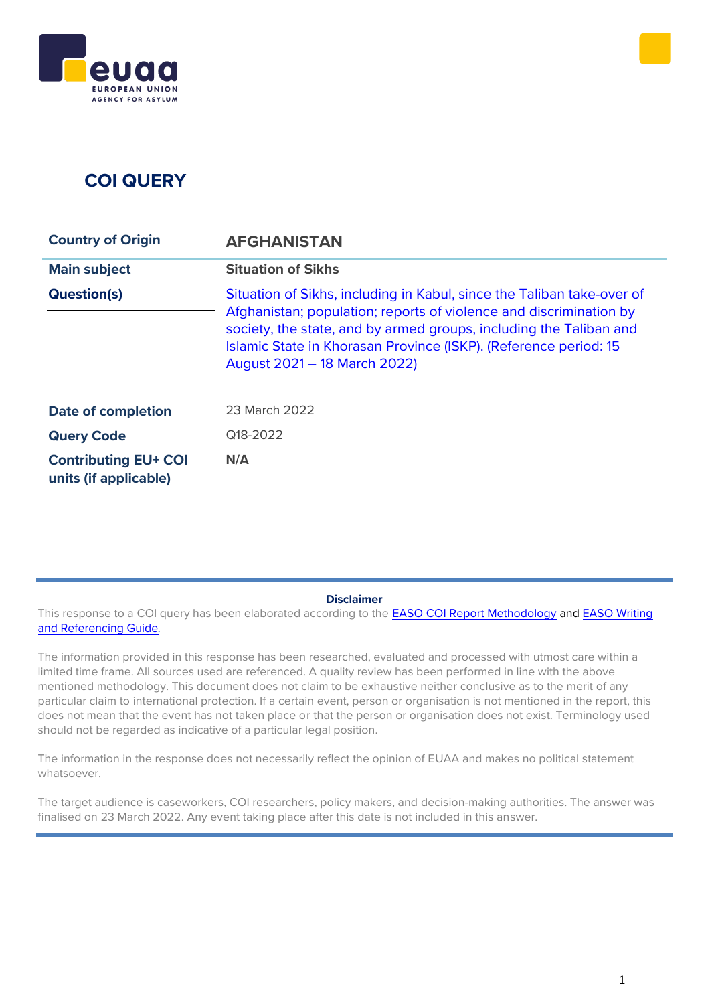# **COI QUERY**

| <b>Country of Origin</b>                             | <b>AFGHANISTAN</b>                                                                                                                                                                                                                                                                                                     |
|------------------------------------------------------|------------------------------------------------------------------------------------------------------------------------------------------------------------------------------------------------------------------------------------------------------------------------------------------------------------------------|
| <b>Main subject</b>                                  | <b>Situation of Sikhs</b>                                                                                                                                                                                                                                                                                              |
| <b>Question(s)</b>                                   | Situation of Sikhs, including in Kabul, since the Taliban take-over of<br>Afghanistan; population; reports of violence and discrimination by<br>society, the state, and by armed groups, including the Taliban and<br>Islamic State in Khorasan Province (ISKP). (Reference period: 15<br>August 2021 - 18 March 2022) |
| <b>Date of completion</b>                            | 23 March 2022                                                                                                                                                                                                                                                                                                          |
| <b>Query Code</b>                                    | Q18-2022                                                                                                                                                                                                                                                                                                               |
| <b>Contributing EU+ COI</b><br>units (if applicable) | N/A                                                                                                                                                                                                                                                                                                                    |

**Disclaimer**

This response to a COI query has been elaborated according to the **[EASO COI Report Methodology](https://coi.easo.europa.eu/administration/easo/PLib/2019_EASO_COI_Report_Methodology.pdf) and EASO Writing** [and Referencing Guide](https://coi.easo.europa.eu/administration/easo/PLib/2019_EASO_COI_Writing_and_Referencing_Guide.pdf)*.* 

The information provided in this response has been researched, evaluated and processed with utmost care within a limited time frame. All sources used are referenced. A quality review has been performed in line with the above mentioned methodology. This document does not claim to be exhaustive neither conclusive as to the merit of any particular claim to international protection. If a certain event, person or organisation is not mentioned in the report, this does not mean that the event has not taken place or that the person or organisation does not exist. Terminology used should not be regarded as indicative of a particular legal position.

The information in the response does not necessarily reflect the opinion of EUAA and makes no political statement whatsoever.

The target audience is caseworkers, COI researchers, policy makers, and decision-making authorities. The answer was finalised on 23 March 2022. Any event taking place after this date is not included in this answer.

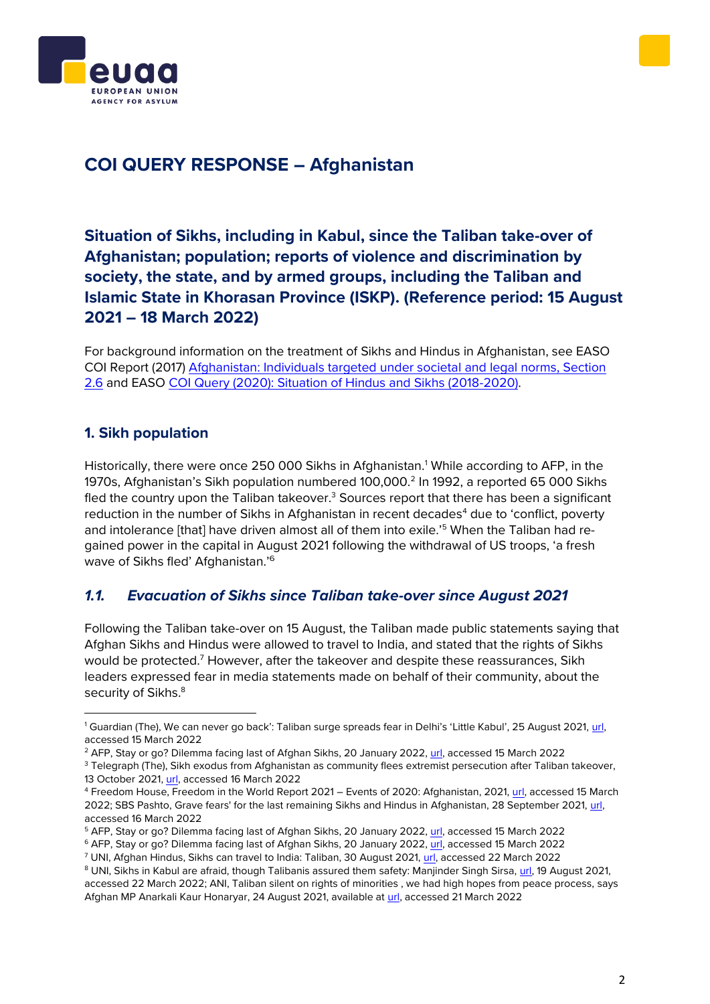



## **COI QUERY RESPONSE – Afghanistan**

### <span id="page-1-0"></span>**Situation of Sikhs, including in Kabul, since the Taliban take-over of Afghanistan; population; reports of violence and discrimination by society, the state, and by armed groups, including the Taliban and Islamic State in Khorasan Province (ISKP). (Reference period: 15 August 2021 – 18 March 2022)**

For background information on the treatment of Sikhs and Hindus in Afghanistan, see EASO COI Report (2017) [Afghanistan: Individuals targeted under societal and legal norms, Section](https://coi.euaa.europa.eu/administration/easo/PLib/Afghanistan_targeting_society.pdf)  [2.6](https://coi.euaa.europa.eu/administration/easo/PLib/Afghanistan_targeting_society.pdf) and EASO [COI Query \(2020\): Situation of Hindus and Sikhs \(2018-2020\).](https://coi.euaa.europa.eu/administration/easo/PLib/2020_08_Q14_EASO_COI_Query_Response_AFG_Hindus_Sikhs.pdf)

#### **1. Sikh population**

Historically, there were once 250 000 Sikhs in Afghanistan.<sup>1</sup> While according to AFP, in the 1970s, Afghanistan's Sikh population numbered 100,000.<sup>2</sup> In 1992, a reported 65 000 Sikhs fled the country upon the Taliban takeover. $3$  Sources report that there has been a significant reduction in the number of Sikhs in Afghanistan in recent decades<sup>4</sup> due to 'conflict, poverty and intolerance [that] have driven almost all of them into exile.'<sup>5</sup> When the Taliban had regained power in the capital in August 2021 following the withdrawal of US troops, 'a fresh wave of Sikhs fled' Afghanistan.<sup>'6</sup>

### *1.1. Evacuation of Sikhs since Taliban take-over since August 2021*

Following the Taliban take-over on 15 August, the Taliban made public statements saying that Afghan Sikhs and Hindus were allowed to travel to India, and stated that the rights of Sikhs would be protected.<sup>7</sup> However, after the takeover and despite these reassurances, Sikh leaders expressed fear in media statements made on behalf of their community, about the security of Sikhs.<sup>8</sup>

<sup>1</sup> Guardian (The), We can never go back': Taliban surge spreads fear in Delhi's 'Little Kabul', 25 August 2021, [url,](https://www.theguardian.com/world/2021/aug/25/if-i-go-back-i-will-be-killed-the-plight-of-afghan-refugees-in-india)  accessed 15 March 2022

<sup>2</sup> AFP, Stay or go? Dilemma facing last of Afghan Sikhs, 20 January 2022, [url,](https://www.rfi.fr/en/stay-or-go-dilemma-facing-last-of-the-afghan-sikhs) accessed 15 March 2022

<sup>&</sup>lt;sup>3</sup> Telegraph (The), Sikh exodus from Afghanistan as community flees extremist persecution after Taliban takeover, 13 October 2021[, url,](https://www.telegraph.co.uk/global-health/terror-and-security/sikh-exodus-afghanistan-community-flees-extremist-persecution/) accessed 16 March 2022

<sup>4</sup> Freedom House, Freedom in the World Report 2021 – Events of 2020: Afghanistan, 2021[, url,](https://freedomhouse.org/country/afghanistan/freedom-world/2021) accessed 15 March 2022; SBS Pashto, Grave fears' for the last remaining Sikhs and Hindus in Afghanistan, 28 September 2021, [url,](https://www.sbs.com.au/language/english/grave-fears-for-the-last-remaining-sikhs-and-hindus-in-afghanistan) accessed 16 March 2022

<sup>5</sup> AFP, Stay or go? Dilemma facing last of Afghan Sikhs, 20 January 2022, [url,](https://www.rfi.fr/en/stay-or-go-dilemma-facing-last-of-the-afghan-sikhs) accessed 15 March 2022

<sup>&</sup>lt;sup>6</sup> AFP, Stay or go? Dilemma facing last of Afghan Sikhs, 20 January 2022, [url,](https://www.rfi.fr/en/stay-or-go-dilemma-facing-last-of-the-afghan-sikhs) accessed 15 March 2022

<sup>7</sup> UNI, Afghan Hindus, Sikhs can travel to India: Taliban, 30 August 2021, [url,](http://www.uniindia.net/~/afghan-hindus-sikhs-can-travel-to-india-taliban/India/news/2491844.html) accessed 22 March 2022

<sup>&</sup>lt;sup>8</sup> UNI, Sikhs in Kabul are afraid, though Talibanis assured them safety: Manjinder Singh Sirsa, [url,](http://www.uniindia.net/news/india/sikhs-in-kabul-are-afraid-though-talibanis-assured-them-safety-manjinder-singh-sirsa/2482048.html) 19 August 2021, accessed 22 March 2022; ANI, Taliban silent on rights of minorities , we had high hopes from peace process, says Afghan MP Anarkali Kaur Honaryar, 24 August 2021, available at [url,](https://snapshot.factiva.com/Search/SSResults) accessed 21 March 2022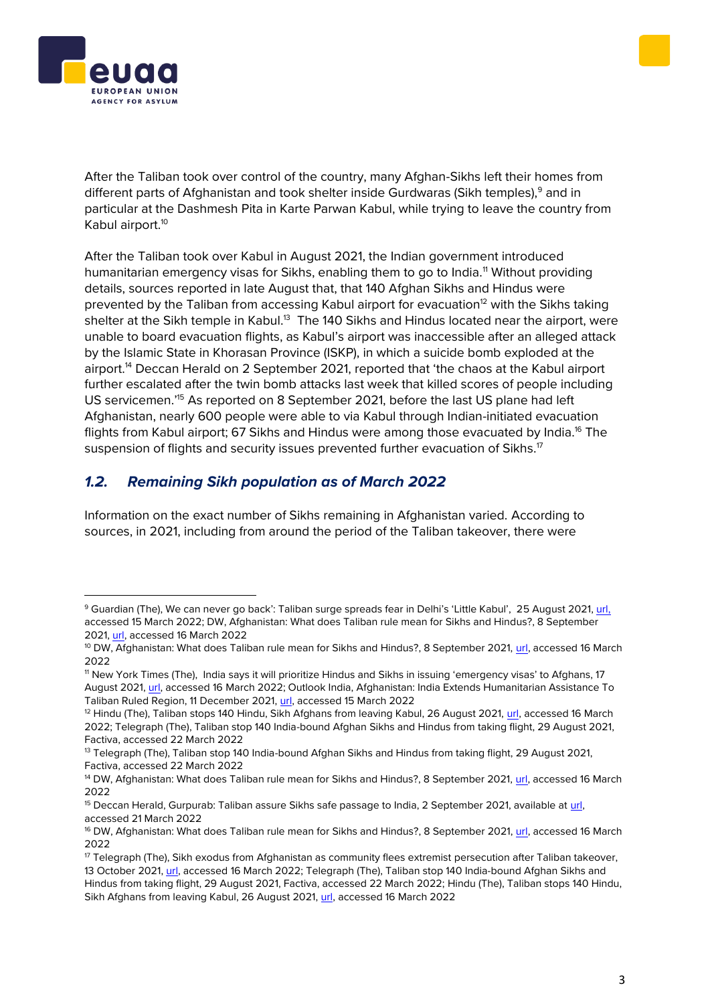



After the Taliban took over control of the country, many Afghan-Sikhs left their homes from different parts of Afghanistan and took shelter inside Gurdwaras (Sikh temples),<sup>9</sup> and in particular at the Dashmesh Pita in Karte Parwan Kabul, while trying to leave the country from Kabul airport.<sup>10</sup>

After the Taliban took over Kabul in August 2021, the Indian government introduced humanitarian emergency visas for Sikhs, enabling them to go to India.<sup>11</sup> Without providing details, sources reported in late August that, that 140 Afghan Sikhs and Hindus were prevented by the Taliban from accessing Kabul airport for evacuation<sup>12</sup> with the Sikhs taking shelter at the Sikh temple in Kabul.<sup>13</sup> The 140 Sikhs and Hindus located near the airport, were unable to board evacuation flights, as Kabul's airport was inaccessible after an alleged attack by the Islamic State in Khorasan Province (ISKP), in which a suicide bomb exploded at the airport.<sup>14</sup> Deccan Herald on 2 September 2021, reported that 'the chaos at the Kabul airport further escalated after the twin bomb attacks last week that killed scores of people including US servicemen.'<sup>15</sup> As reported on 8 September 2021, before the last US plane had left Afghanistan, nearly 600 people were able to via Kabul through Indian-initiated evacuation flights from Kabul airport; 67 Sikhs and Hindus were among those evacuated by India.<sup>16</sup> The suspension of flights and security issues prevented further evacuation of Sikhs.<sup>17</sup>

### *1.2. Remaining Sikh population as of March 2022*

Information on the exact number of Sikhs remaining in Afghanistan varied. According to sources, in 2021, including from around the period of the Taliban takeover, there were

<sup>&</sup>lt;sup>9</sup> Guardian (The), We can never go back': Taliban surge spreads fear in Delhi's 'Little Kabul', 25 August 2021, [url,](https://www.theguardian.com/world/2021/aug/25/if-i-go-back-i-will-be-killed-the-plight-of-afghan-refugees-in-india) accessed 15 March 2022; DW, Afghanistan: What does Taliban rule mean for Sikhs and Hindus?, 8 September 2021[, url,](https://www.dw.com/en/afghanistan-what-does-taliban-rule-mean-for-sikhs-and-hindus/a-59122249) accessed 16 March 2022

<sup>&</sup>lt;sup>10</sup> DW, Afghanistan: What does Taliban rule mean for Sikhs and Hindus?, 8 September 2021[, url,](https://www.dw.com/en/afghanistan-what-does-taliban-rule-mean-for-sikhs-and-hindus/a-59122249) accessed 16 March 2022

<sup>11</sup> New York Times (The), India says it will prioritize Hindus and Sikhs in issuing 'emergency visas' to Afghans, 17 August 2021[, url,](file:///C:/Users/myresme/AppData/Roaming/Microsoft/Word/url) accessed 16 March 2022; Outlook India, Afghanistan: India Extends Humanitarian Assistance To Taliban Ruled Region, 11 December 2021, [url,](https://www.outlookindia.com/website/story/india-news-afghanistan-india-extends-humanitarian-assistance-to-taliban-ruled-region/404704) accessed 15 March 2022

<sup>&</sup>lt;sup>12</sup> Hindu (The), Taliban stops 140 Hindu, Sikh Afghans from leaving Kabul, 26 August 2021, [url,](https://www.thehindu.com/news/international/taliban-stops-140-hindu-sikh-afghans-from-leaving-kabul/article61425812.ece) accessed 16 March 2022; Telegraph (The), Taliban stop 140 India-bound Afghan Sikhs and Hindus from taking flight, 29 August 2021, Factiva, accessed 22 March 2022

<sup>&</sup>lt;sup>13</sup> Telegraph (The), Taliban stop 140 India-bound Afghan Sikhs and Hindus from taking flight, 29 August 2021, Factiva, accessed 22 March 2022

<sup>&</sup>lt;sup>14</sup> DW, Afghanistan: What does Taliban rule mean for Sikhs and Hindus?, 8 September 2021, [url,](https://www.dw.com/en/afghanistan-what-does-taliban-rule-mean-for-sikhs-and-hindus/a-59122249) accessed 16 March 2022

<sup>&</sup>lt;sup>15</sup> Deccan Herald, Gurpurab: Taliban assure Sikhs safe passage to India, 2 September 2021, available at [url,](https://snapshot.factiva.com/Search/SSResults) accessed 21 March 2022

<sup>&</sup>lt;sup>16</sup> DW, Afghanistan: What does Taliban rule mean for Sikhs and Hindus?, 8 September 2021[, url,](https://www.dw.com/en/afghanistan-what-does-taliban-rule-mean-for-sikhs-and-hindus/a-59122249) accessed 16 March 2022

<sup>17</sup> Telegraph (The), Sikh exodus from Afghanistan as community flees extremist persecution after Taliban takeover, 13 October 2021[, url,](https://www.telegraph.co.uk/global-health/terror-and-security/sikh-exodus-afghanistan-community-flees-extremist-persecution/) accessed 16 March 2022; Telegraph (The), Taliban stop 140 India-bound Afghan Sikhs and Hindus from taking flight, 29 August 2021, Factiva, accessed 22 March 2022; Hindu (The), Taliban stops 140 Hindu, Sikh Afghans from leaving Kabul, 26 August 2021, [url,](https://www.thehindu.com/news/international/taliban-stops-140-hindu-sikh-afghans-from-leaving-kabul/article61425812.ece) accessed 16 March 2022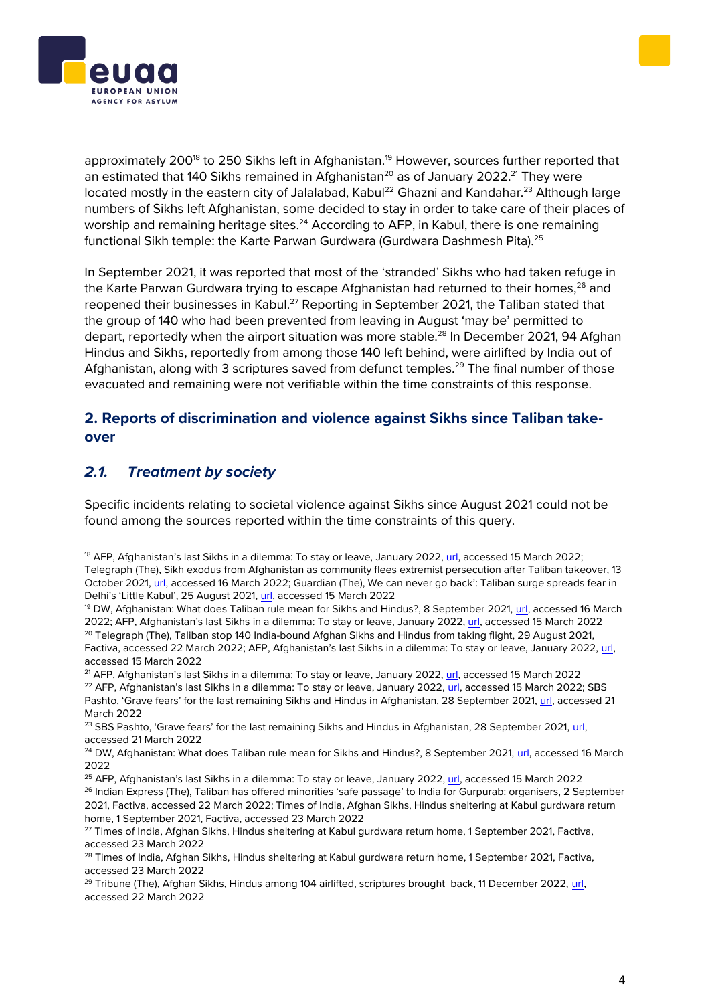



approximately 200<sup>18</sup> to 250 Sikhs left in Afghanistan.<sup>19</sup> However, sources further reported that an estimated that 140 Sikhs remained in Afghanistan<sup>20</sup> as of January 2022.<sup>21</sup> They were located mostly in the eastern city of Jalalabad, Kabul<sup>22</sup> Ghazni and Kandahar.<sup>23</sup> Although large numbers of Sikhs left Afghanistan, some decided to stay in order to take care of their places of worship and remaining heritage sites.<sup>24</sup> According to AFP, in Kabul, there is one remaining functional Sikh temple: the Karte Parwan Gurdwara (Gurdwara Dashmesh Pita).<sup>25</sup>

In September 2021, it was reported that most of the 'stranded' Sikhs who had taken refuge in the Karte Parwan Gurdwara trying to escape Afghanistan had returned to their homes,<sup>26</sup> and reopened their businesses in Kabul.<sup>27</sup> Reporting in September 2021, the Taliban stated that the group of 140 who had been prevented from leaving in August 'may be' permitted to depart, reportedly when the airport situation was more stable.<sup>28</sup> In December 2021, 94 Afghan Hindus and Sikhs, reportedly from among those 140 left behind, were airlifted by India out of Afghanistan, along with 3 scriptures saved from defunct temples.<sup>29</sup> The final number of those evacuated and remaining were not verifiable within the time constraints of this response.

#### **2. Reports of discrimination and violence against Sikhs since Taliban takeover**

### *2.1. Treatment by society*

Specific incidents relating to societal violence against Sikhs since August 2021 could not be found among the sources reported within the time constraints of this query.

<sup>&</sup>lt;sup>18</sup> AFP, [Afghanistan's last Sikhs in a dilemma: To stay or leave,](https://www.aljazeera.com/news/2022/1/20/stay-or-go-dilemma-facing-last-afghanistan-sikhs) January 2022[, url,](file:///C:/Users/myresme/Desktop/Anna%20H/Sikhs%20in%20AFG%20query%20Mar%202022/AFP,%20Stay%20or%20go%3f%20Dilemma%20facing%20last%20of%20Afghan%20Sikhs,%2020%20January%202022,%20available%20at:%20https:/www.rfi.fr/en/stay-or-go-dilemma-facing-last-of-the-afghan-sikhs,%20accessed%2022%20March%202022) accessed 15 March 2022; Telegraph (The), Sikh exodus from Afghanistan as community flees extremist persecution after Taliban takeover, 13 October 2021, [url](https://www.telegraph.co.uk/global-health/terror-and-security/sikh-exodus-afghanistan-community-flees-extremist-persecution/), accessed 16 March 2022; Guardian (The), We can never go back': Taliban surge spreads fear in Delhi's 'Little Kabul', 25 August 2021, [url,](https://www.theguardian.com/world/2021/aug/25/if-i-go-back-i-will-be-killed-the-plight-of-afghan-refugees-in-india) accessed 15 March 2022

<sup>&</sup>lt;sup>19</sup> DW, Afghanistan: What does Taliban rule mean for Sikhs and Hindus?, 8 September 2021[, url,](https://www.dw.com/en/afghanistan-what-does-taliban-rule-mean-for-sikhs-and-hindus/a-59122249) accessed 16 March 2022; AFP, Afghanis[tan's last Sikhs in a dilemma: To stay or leave,](https://www.aljazeera.com/news/2022/1/20/stay-or-go-dilemma-facing-last-afghanistan-sikhs) January 2022[, url,](file:///C:/Users/myresme/Desktop/Anna%20H/Sikhs%20in%20AFG%20query%20Mar%202022/AFP,%20Stay%20or%20go%3f%20Dilemma%20facing%20last%20of%20Afghan%20Sikhs,%2020%20January%202022,%20available%20at:%20https:/www.rfi.fr/en/stay-or-go-dilemma-facing-last-of-the-afghan-sikhs,%20accessed%2022%20March%202022) accessed 15 March 2022 <sup>20</sup> Telegraph (The), Taliban stop 140 India-bound Afghan Sikhs and Hindus from taking flight, 29 August 2021, Factiva, accessed 22 March 2022; AFP, Afghanistan's last Sikhs in a dilemma: To stay or leave, January 2022, [url,](file:///C:/Users/myresme/Desktop/Anna%20H/Sikhs%20in%20AFG%20query%20Mar%202022/AFP,%20Stay%20or%20go%3f%20Dilemma%20facing%20last%20of%20Afghan%20Sikhs,%2020%20January%202022,%20available%20at:%20https:/www.rfi.fr/en/stay-or-go-dilemma-facing-last-of-the-afghan-sikhs,%20accessed%2022%20March%202022) accessed 15 March 2022

<sup>21</sup> AFP, Afghanistan's last Sikhs in a dilemma: To stay or leave, January 2022, [url,](file:///C:/Users/myresme/Desktop/Anna%20H/Sikhs%20in%20AFG%20query%20Mar%202022/AFP,%20Stay%20or%20go%3f%20Dilemma%20facing%20last%20of%20Afghan%20Sikhs,%2020%20January%202022,%20available%20at:%20https:/www.rfi.fr/en/stay-or-go-dilemma-facing-last-of-the-afghan-sikhs,%20accessed%2022%20March%202022) accessed 15 March 2022 <sup>22</sup> AFP, Afghanistan's last Sikhs in a dilemma: To stay or leave, January 2022, [url,](file:///C:/Users/myresme/Desktop/Anna%20H/Sikhs%20in%20AFG%20query%20Mar%202022/AFP,%20Stay%20or%20go%3f%20Dilemma%20facing%20last%20of%20Afghan%20Sikhs,%2020%20January%202022,%20available%20at:%20https:/www.rfi.fr/en/stay-or-go-dilemma-facing-last-of-the-afghan-sikhs,%20accessed%2022%20March%202022) accessed 15 March 2022; SBS Pashto, 'Grave fears' for the last remaining Sikhs and Hindus in Afghanistan, 28 September 2021, [url,](https://www.sbs.com.au/language/english/grave-fears-for-the-last-remaining-sikhs-and-hindus-in-afghanistan) accessed 21 March 2022

<sup>&</sup>lt;sup>23</sup> SBS Pashto, 'Grave fears' for the last remaining Sikhs and Hindus in Afghanistan, 28 September 2021, url, accessed 21 March 2022

<sup>&</sup>lt;sup>24</sup> DW, Afghanistan: What does Taliban rule mean for Sikhs and Hindus?, 8 September 2021[, url,](https://www.dw.com/en/afghanistan-what-does-taliban-rule-mean-for-sikhs-and-hindus/a-59122249) accessed 16 March 2022

<sup>&</sup>lt;sup>25</sup> AFP, [Afghanistan's last Sikhs in a dilemma: To stay or leave,](https://www.aljazeera.com/news/2022/1/20/stay-or-go-dilemma-facing-last-afghanistan-sikhs) January 2022[, url,](file:///C:/Users/myresme/Desktop/Anna%20H/Sikhs%20in%20AFG%20query%20Mar%202022/AFP,%20Stay%20or%20go%3f%20Dilemma%20facing%20last%20of%20Afghan%20Sikhs,%2020%20January%202022,%20available%20at:%20https:/www.rfi.fr/en/stay-or-go-dilemma-facing-last-of-the-afghan-sikhs,%20accessed%2022%20March%202022) accessed 15 March 2022 <sup>26</sup> Indian Express (The), Taliban has offered minorities 'safe passage' to India for Gurpurab: organisers, 2 September 2021, Factiva, accessed 22 March 2022; Times of India, Afghan Sikhs, Hindus sheltering at Kabul gurdwara return home, 1 September 2021, Factiva, accessed 23 March 2022

<sup>&</sup>lt;sup>27</sup> Times of India, Afghan Sikhs, Hindus sheltering at Kabul gurdwara return home, 1 September 2021, Factiva, accessed 23 March 2022

<sup>&</sup>lt;sup>28</sup> Times of India, Afghan Sikhs, Hindus sheltering at Kabul gurdwara return home, 1 September 2021, Factiva, accessed 23 March 2022

<sup>&</sup>lt;sup>29</sup> Tribune (The), Afghan Sikhs, Hindus among 104 airlifted, scriptures brought back, 11 December 2022, url, accessed 22 March 2022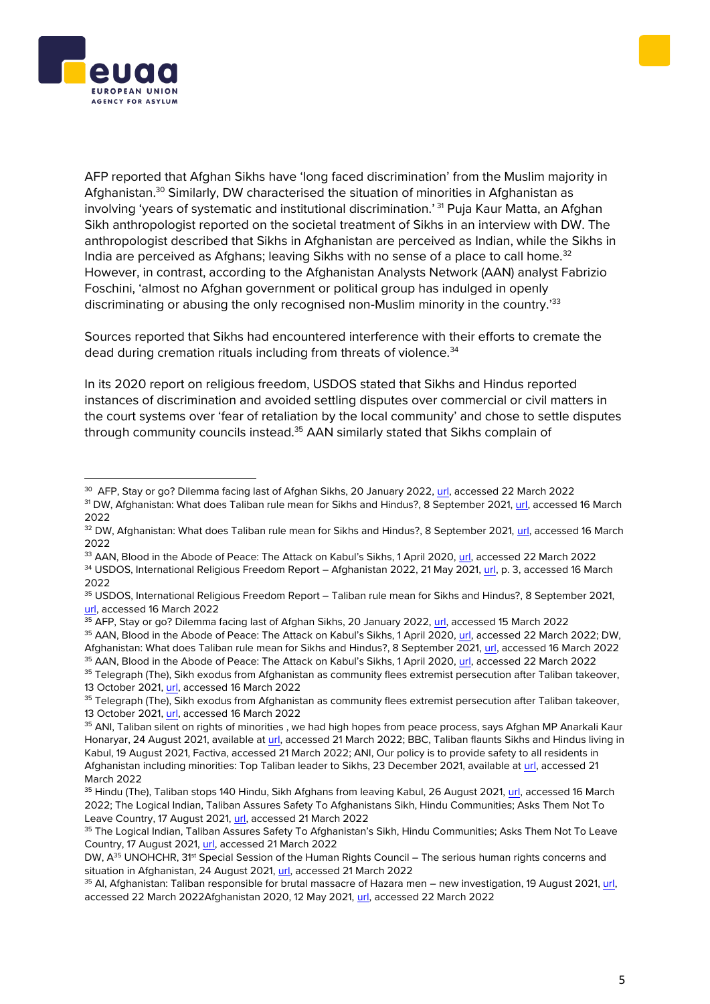



AFP reported that Afghan Sikhs have 'long faced discrimination' from the Muslim majority in Afghanistan.<sup>30</sup> Similarly, DW characterised the situation of minorities in Afghanistan as involving 'years of systematic and institutional discrimination.' <sup>31</sup> Puja Kaur Matta, an Afghan Sikh anthropologist reported on the societal treatment of Sikhs in an interview with DW. The anthropologist described that Sikhs in Afghanistan are perceived as Indian, while the Sikhs in India are perceived as Afghans; leaving Sikhs with no sense of a place to call home.<sup>32</sup> However, in contrast, according to the Afghanistan Analysts Network (AAN) analyst Fabrizio Foschini, 'almost no Afghan government or political group has indulged in openly discriminating or abusing the only recognised non-Muslim minority in the country.'33

Sources reported that Sikhs had encountered interference with their efforts to cremate the dead during cremation rituals including from threats of violence.<sup>34</sup>

In its 2020 report on religious freedom, USDOS stated that Sikhs and Hindus reported instances of discrimination and avoided settling disputes over commercial or civil matters in the court systems over 'fear of retaliation by the local community' and chose to settle disputes through community councils instead.<sup>35</sup> AAN similarly stated that Sikhs complain of

- 33 AAN, Blood in the Abode of Peace: The Attack on Kabul's Sikhs, 1 April 2020, [url,](https://www.afghanistan-analysts.org/en/reports/war-and-peace/blood-in-the-abode-of-peace-the-attack-on-kabuls-sikhs/) accessed 22 March 2022
- 34 USDOS, International Religious Freedom Report Afghanistan 2022, 21 May 2021, [url,](https://www.state.gov/wp-content/uploads/2021/05/240282-AFGHANISTAN-2020-INTERNATIONAL-RELIGIOUS-FREEDOM-REPORT.pdf) p. 3, accessed 16 March 2022

35 AAN, Blood in the Abode of Peace: The Attack on Kabul's Sikhs, 1 April 2020, [url,](https://www.afghanistan-analysts.org/en/reports/war-and-peace/blood-in-the-abode-of-peace-the-attack-on-kabuls-sikhs/) accessed 22 March 2022

<sup>&</sup>lt;sup>30</sup> AFP, Stay or go? Dilemma facing last of Afghan Sikhs, 20 January 2022, <u>url</u>, accessed 22 March 2022

<sup>&</sup>lt;sup>31</sup> DW, Afghanistan: What does Taliban rule mean for Sikhs and Hindus?, 8 September 2021[, url,](https://www.dw.com/en/afghanistan-what-does-taliban-rule-mean-for-sikhs-and-hindus/a-59122249) accessed 16 March 2022

<sup>32</sup> DW, Afghanistan: What does Taliban rule mean for Sikhs and Hindus?, 8 September 2021[, url,](https://www.dw.com/en/afghanistan-what-does-taliban-rule-mean-for-sikhs-and-hindus/a-59122249) accessed 16 March 2022

<sup>35</sup> USDOS, International Religious Freedom Report – Taliban rule mean for Sikhs and Hindus?, 8 September 2021, [url,](https://www.dw.com/en/afghanistan-what-does-taliban-rule-mean-for-sikhs-and-hindus/a-59122249) accessed 16 March 2022

<sup>35</sup> AFP, Stay or go? Dilemma facing last of Afghan Sikhs, 20 January 2022, [url,](https://www.rfi.fr/en/stay-or-go-dilemma-facing-last-of-the-afghan-sikhs) accessed 15 March 2022 <sup>35</sup> AAN, Blood in the Abode of Peace: The Attack on Kabul's Sikhs, 1 April 2020, [url,](https://www.afghanistan-analysts.org/en/reports/war-and-peace/blood-in-the-abode-of-peace-the-attack-on-kabuls-sikhs/) accessed 22 March 2022; DW, Afghanistan: What does Taliban rule mean for Sikhs and Hindus?, 8 September 2021, [url,](https://www.dw.com/en/afghanistan-what-does-taliban-rule-mean-for-sikhs-and-hindus/a-59122249) accessed 16 March 2022

<sup>&</sup>lt;sup>35</sup> Telegraph (The), Sikh exodus from Afghanistan as community flees extremist persecution after Taliban takeover, 13 October 2021[, url,](https://www.telegraph.co.uk/global-health/terror-and-security/sikh-exodus-afghanistan-community-flees-extremist-persecution/) accessed 16 March 2022

<sup>35</sup> Telegraph (The), Sikh exodus from Afghanistan as community flees extremist persecution after Taliban takeover, 13 October 2021[, url,](https://www.telegraph.co.uk/global-health/terror-and-security/sikh-exodus-afghanistan-community-flees-extremist-persecution/) accessed 16 March 2022

<sup>&</sup>lt;sup>35</sup> ANI, Taliban silent on rights of minorities, we had high hopes from peace process, says Afghan MP Anarkali Kaur Honaryar, 24 August 2021, available at [url,](https://snapshot.factiva.com/Search/SSResults) accessed 21 March 2022; BBC, Taliban flaunts Sikhs and Hindus living in Kabul, 19 August 2021, Factiva, accessed 21 March 2022; ANI, Our policy is to provide safety to all residents in Afghanistan including minorities: Top Taliban leader to Sikhs, 23 December 2021, available a[t url,](https://snapshot.factiva.com/Search/SSResults) accessed 21 March 2022

<sup>&</sup>lt;sup>35</sup> Hindu (The), Taliban stops 140 Hindu, Sikh Afghans from leaving Kabul, 26 August 2021, [url,](https://www.thehindu.com/news/international/taliban-stops-140-hindu-sikh-afghans-from-leaving-kabul/article61425812.ece) accessed 16 March 2022; The Logical Indian, Taliban Assures Safety To Afghanistans Sikh, Hindu Communities; Asks Them Not To Leave Country, 17 August 2021[, url,](https://thelogicalindian.com/trending/sikh-and-hindu-communities-assured-safety-by-taliban-30274) accessed 21 March 2022

<sup>&</sup>lt;sup>35</sup> The Logical Indian, Taliban Assures Safety To Afghanistan's Sikh, Hindu Communities; Asks Them Not To Leave Country, 17 August 2021, [url,](https://thelogicalindian.com/trending/sikh-and-hindu-communities-assured-safety-by-taliban-30274) accessed 21 March 2022

DW, A<sup>35</sup> UNOHCHR, 31<sup>st</sup> Special Session of the Human Rights Council – The serious human rights concerns and situation in Afghanistan, 24 August 2021, [url,](https://www.ohchr.org/en/2021/08/31st-special-session-human-rights-council-serious-human-rights-concerns-and-situation?LangID=E&NewsID=27403) accessed 21 March 2022

<sup>&</sup>lt;sup>35</sup> AI, Afghanistan: Taliban responsible for brutal massacre of Hazara men – new investigation, 19 August 2021, url, accessed 22 March 2022Afghanistan 2020, 12 May 2021[, url,](https://www.state.gov/wp-content/uploads/2021/05/240282-AFGHANISTAN-2020-INTERNATIONAL-RELIGIOUS-FREEDOM-REPORT.pdf) accessed 22 March 2022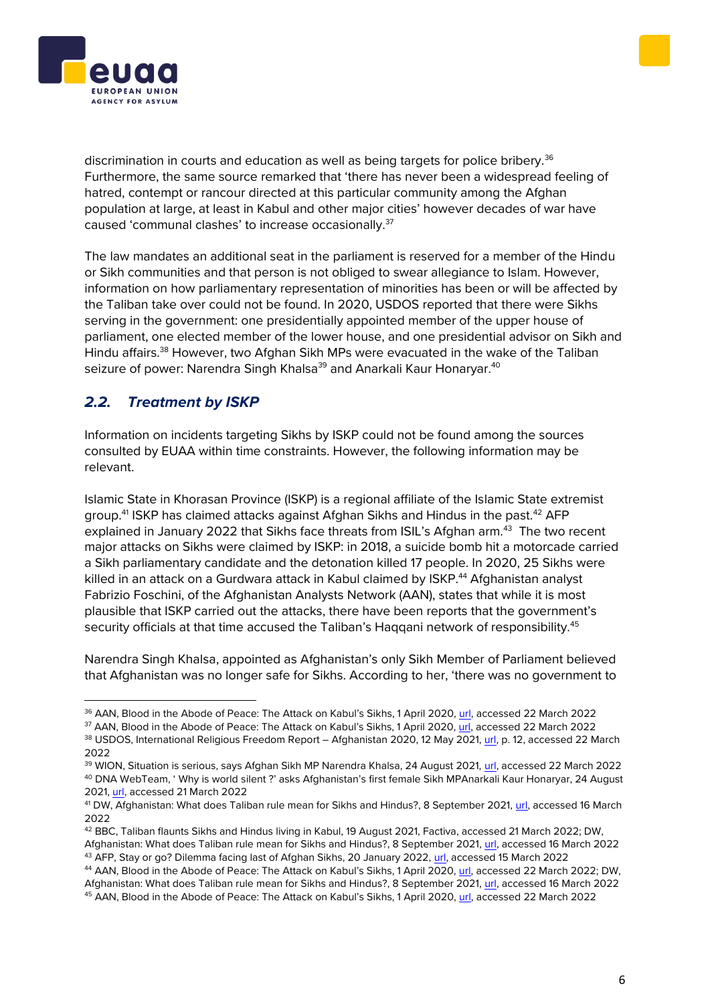



discrimination in courts and education as well as being targets for police bribery.<sup>36</sup> Furthermore, the same source remarked that 'there has never been a widespread feeling of hatred, contempt or rancour directed at this particular community among the Afghan population at large, at least in Kabul and other major cities' however decades of war have caused 'communal clashes' to increase occasionally.<sup>37</sup>

The law mandates an additional seat in the parliament is reserved for a member of the Hindu or Sikh communities and that person is not obliged to swear allegiance to Islam. However, information on how parliamentary representation of minorities has been or will be affected by the Taliban take over could not be found. In 2020, USDOS reported that there were Sikhs serving in the government: one presidentially appointed member of the upper house of parliament, one elected member of the lower house, and one presidential advisor on Sikh and Hindu affairs.<sup>38</sup> However, two Afghan Sikh MPs were evacuated in the wake of the Taliban seizure of power: Narendra Singh Khalsa<sup>39</sup> and Anarkali Kaur Honaryar.<sup>40</sup>

### *2.2. Treatment by ISKP*

Information on incidents targeting Sikhs by ISKP could not be found among the sources consulted by EUAA within time constraints. However, the following information may be relevant.

Islamic State in Khorasan Province (ISKP) is a regional affiliate of the Islamic State extremist group.<sup>41</sup> ISKP has claimed attacks against Afghan Sikhs and Hindus in the past.<sup>42</sup> AFP explained in January 2022 that Sikhs face threats from ISIL's Afghan arm.<sup>43</sup> The two recent major attacks on Sikhs were claimed by ISKP: in 2018, a suicide bomb hit a motorcade carried a Sikh parliamentary candidate and the detonation killed 17 people. In 2020, 25 Sikhs were killed in an attack on a Gurdwara attack in Kabul claimed by ISKP.<sup>44</sup> Afghanistan analyst Fabrizio Foschini, of the Afghanistan Analysts Network (AAN), states that while it is most plausible that ISKP carried out the attacks, there have been reports that the government's security officials at that time accused the Taliban's Haggani network of responsibility.<sup>45</sup>

Narendra Singh Khalsa, appointed as Afghanistan's only Sikh Member of Parliament believed that Afghanistan was no longer safe for Sikhs. According to her, 'there was no government to

<sup>36</sup> AAN, Blood in the Abode of Peace: The Attack on Kabul's Sikhs, 1 April 2020, [url,](https://www.afghanistan-analysts.org/en/reports/war-and-peace/blood-in-the-abode-of-peace-the-attack-on-kabuls-sikhs/) accessed 22 March 2022

<sup>&</sup>lt;sup>37</sup> AAN, Blood in the Abode of Peace: The Attack on Kabul's Sikhs, 1 April 2020, [url,](https://www.afghanistan-analysts.org/en/reports/war-and-peace/blood-in-the-abode-of-peace-the-attack-on-kabuls-sikhs/) accessed 22 March 2022

<sup>38</sup> USDOS, International Religious Freedom Report – Afghanistan 2020, 12 May 2021, [url,](https://www.state.gov/wp-content/uploads/2021/05/240282-AFGHANISTAN-2020-INTERNATIONAL-RELIGIOUS-FREEDOM-REPORT.pdf) p. 12, accessed 22 March 2022

<sup>39</sup> WION, Situation is serious, says Afghan Sikh MP Narendra Khalsa, 24 August 2021, [url,](https://www.wionews.com/india-news/situation-is-serious-says-afghan-sikh-mp-narendra-khalsa-407909) accessed 22 March 2022 <sup>40</sup> DNA WebTeam, ' Why is world silent ?' asks Afghanistan's first female Sikh MPAnarkali Kaur Honaryar, 24 August 2021[, url,](https://www.dnaindia.com/india/report-why-is-world-silent-asks-afghanistan-s-first-female-sikh-mp-anarkali-kaur-honaryar-2907569) accessed 21 March 2022

<sup>41</sup> DW, Afghanistan: What does Taliban rule mean for Sikhs and Hindus?, 8 September 2021, [url,](https://www.dw.com/en/afghanistan-what-does-taliban-rule-mean-for-sikhs-and-hindus/a-59122249) accessed 16 March 2022

<sup>42</sup> BBC, Taliban flaunts Sikhs and Hindus living in Kabul, 19 August 2021, Factiva, accessed 21 March 2022; DW, Afghanistan: What does Taliban rule mean for Sikhs and Hindus?, 8 September 2021, [url,](https://www.dw.com/en/afghanistan-what-does-taliban-rule-mean-for-sikhs-and-hindus/a-59122249) accessed 16 March 2022 <sup>43</sup> AFP, Stay or go? Dilemma facing last of Afghan Sikhs, 20 January 2022, [url,](https://www.rfi.fr/en/stay-or-go-dilemma-facing-last-of-the-afghan-sikhs) accessed 15 March 2022

<sup>44</sup> AAN, Blood in the Abode of Peace: The Attack on Kabul's Sikhs, 1 April 2020, [url,](https://www.afghanistan-analysts.org/en/reports/war-and-peace/blood-in-the-abode-of-peace-the-attack-on-kabuls-sikhs/) accessed 22 March 2022; DW, Afghanistan: What does Taliban rule mean for Sikhs and Hindus?, 8 September 2021, [url,](https://www.dw.com/en/afghanistan-what-does-taliban-rule-mean-for-sikhs-and-hindus/a-59122249) accessed 16 March 2022 <sup>45</sup> AAN, Blood in the Abode of Peace: The Attack on Kabul's Sikhs, 1 April 2020, [url,](https://www.afghanistan-analysts.org/en/reports/war-and-peace/blood-in-the-abode-of-peace-the-attack-on-kabuls-sikhs/) accessed 22 March 2022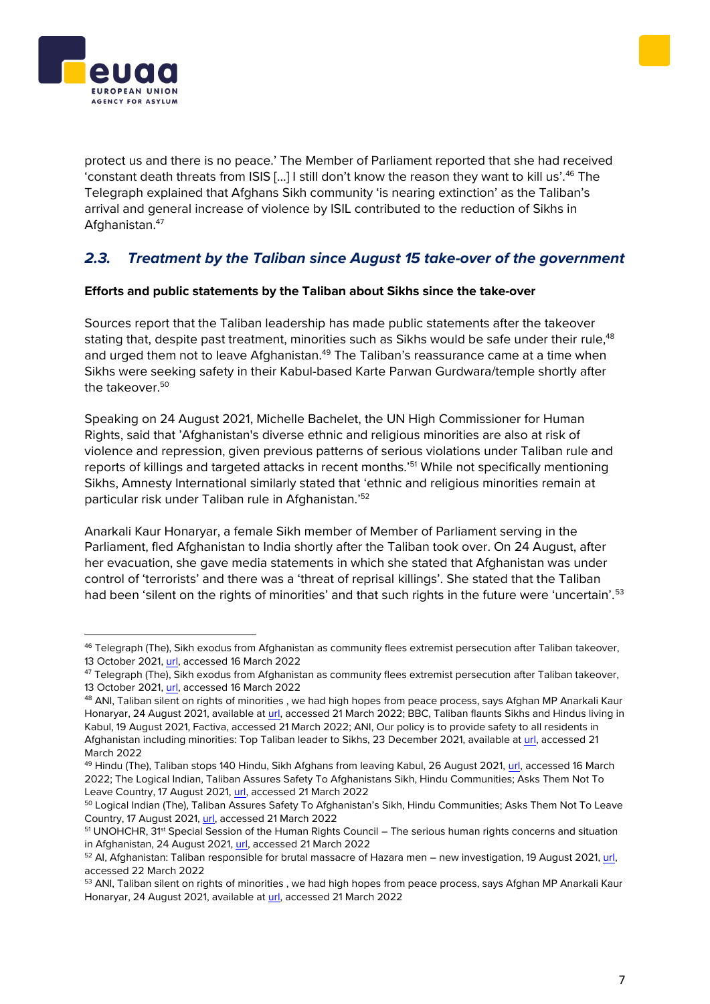



protect us and there is no peace.' The Member of Parliament reported that she had received 'constant death threats from ISIS […] I still don't know the reason they want to kill us'.<sup>46</sup> The Telegraph explained that Afghans Sikh community 'is nearing extinction' as the Taliban's arrival and general increase of violence by ISIL contributed to the reduction of Sikhs in Afghanistan.<sup>47</sup>

### *2.3. Treatment by the Taliban since August 15 take-over of the government*

#### **Efforts and public statements by the Taliban about Sikhs since the take-over**

Sources report that the Taliban leadership has made public statements after the takeover stating that, despite past treatment, minorities such as Sikhs would be safe under their rule,<sup>48</sup> and urged them not to leave Afghanistan.<sup>49</sup> The Taliban's reassurance came at a time when Sikhs were seeking safety in their Kabul-based Karte Parwan Gurdwara/temple shortly after the takeover.<sup>50</sup>

Speaking on 24 August 2021, Michelle Bachelet, the UN High Commissioner for Human Rights, said that 'Afghanistan's diverse ethnic and religious minorities are also at risk of violence and repression, given previous patterns of serious violations under Taliban rule and reports of killings and targeted attacks in recent months.'<sup>51</sup> While not specifically mentioning Sikhs, Amnesty International similarly stated that 'ethnic and religious minorities remain at particular risk under Taliban rule in Afghanistan.'<sup>52</sup>

Anarkali Kaur Honaryar, a female Sikh member of Member of Parliament serving in the Parliament, fled Afghanistan to India shortly after the Taliban took over. On 24 August, after her evacuation, she gave media statements in which she stated that Afghanistan was under control of 'terrorists' and there was a 'threat of reprisal killings'. She stated that the Taliban had been 'silent on the rights of minorities' and that such rights in the future were 'uncertain'.<sup>53</sup>

<sup>46</sup> Telegraph (The), Sikh exodus from Afghanistan as community flees extremist persecution after Taliban takeover, 13 October 2021[, url,](https://www.telegraph.co.uk/global-health/terror-and-security/sikh-exodus-afghanistan-community-flees-extremist-persecution/) accessed 16 March 2022

 $47$  Telegraph (The), Sikh exodus from Afghanistan as community flees extremist persecution after Taliban takeover, 13 October 2021[, url,](https://www.telegraph.co.uk/global-health/terror-and-security/sikh-exodus-afghanistan-community-flees-extremist-persecution/) accessed 16 March 2022

<sup>48</sup> ANI, Taliban silent on rights of minorities, we had high hopes from peace process, says Afghan MP Anarkali Kaur Honaryar, 24 August 2021, available at [url,](https://snapshot.factiva.com/Search/SSResults) accessed 21 March 2022; BBC, Taliban flaunts Sikhs and Hindus living in Kabul, 19 August 2021, Factiva, accessed 21 March 2022; ANI, Our policy is to provide safety to all residents in Afghanistan including minorities: Top Taliban leader to Sikhs, 23 December 2021, available a[t url,](https://snapshot.factiva.com/Search/SSResults) accessed 21 March 2022

<sup>&</sup>lt;sup>49</sup> Hindu (The), Taliban stops 140 Hindu, Sikh Afghans from leaving Kabul, 26 August 2021, [url,](https://www.thehindu.com/news/international/taliban-stops-140-hindu-sikh-afghans-from-leaving-kabul/article61425812.ece) accessed 16 March 2022; The Logical Indian, Taliban Assures Safety To Afghanistans Sikh, Hindu Communities; Asks Them Not To Leave Country, 17 August 2021[, url,](https://thelogicalindian.com/trending/sikh-and-hindu-communities-assured-safety-by-taliban-30274) accessed 21 March 2022

<sup>50</sup> Logical Indian (The), Taliban Assures Safety To Afghanistan's Sikh, Hindu Communities; Asks Them Not To Leave Country, 17 August 2021, [url,](https://thelogicalindian.com/trending/sikh-and-hindu-communities-assured-safety-by-taliban-30274) accessed 21 March 2022

<sup>&</sup>lt;sup>51</sup> UNOHCHR, 31<sup>st</sup> Special Session of the Human Rights Council – The serious human rights concerns and situation in Afghanistan, 24 August 2021, [url,](https://www.ohchr.org/en/2021/08/31st-special-session-human-rights-council-serious-human-rights-concerns-and-situation?LangID=E&NewsID=27403) accessed 21 March 2022

<sup>52</sup> AI, Afghanistan: Taliban responsible for brutal massacre of Hazara men – new investigation, 19 August 2021, [url,](https://www.amnesty.org/en/latest/news/2021/08/afghanistan-taliban-responsible-for-brutal-massacre-of-hazara-men-new-investigation/)  accessed 22 March 2022

<sup>&</sup>lt;sup>53</sup> ANI, Taliban silent on rights of minorities, we had high hopes from peace process, says Afghan MP Anarkali Kaur Honaryar, 24 August 2021, available at [url,](https://snapshot.factiva.com/Search/SSResults) accessed 21 March 2022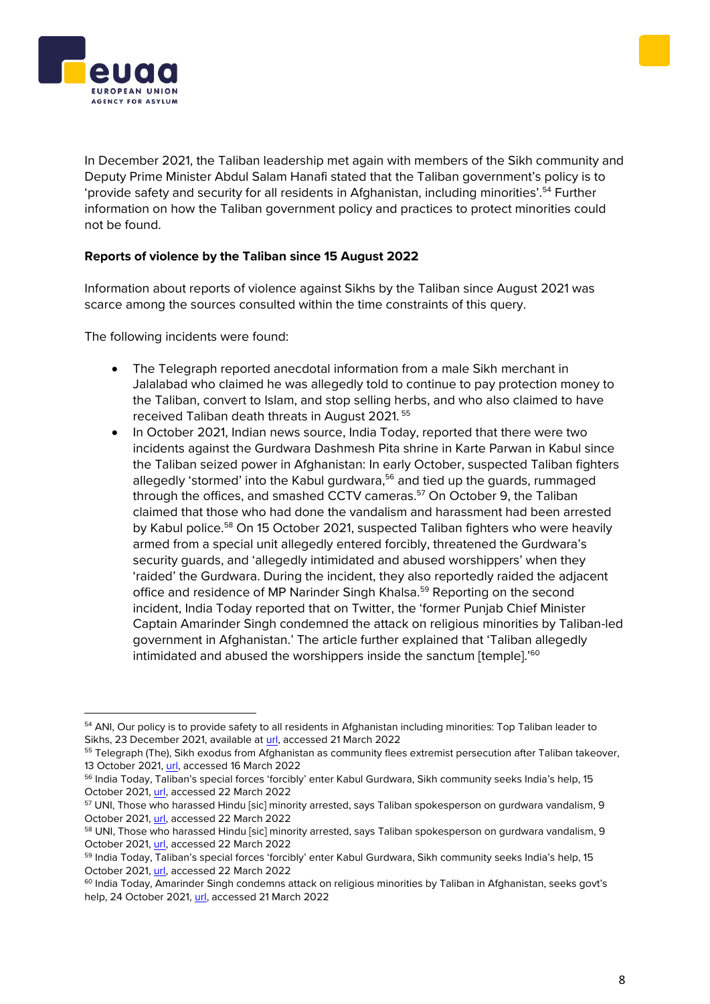In December 2021, the Taliban leadership met again with members of the Sikh community and Deputy Prime Minister Abdul Salam Hanafi stated that the Taliban government's policy is to 'provide safety and security for all residents in Afghanistan, including minorities'.<sup>54</sup> Further information on how the Taliban government policy and practices to protect minorities could not be found.

#### **Reports of violence by the Taliban since 15 August 2022**

Information about reports of violence against Sikhs by the Taliban since August 2021 was scarce among the sources consulted within the time constraints of this query.

The following incidents were found:

- The Telegraph reported anecdotal information from a male Sikh merchant in Jalalabad who claimed he was allegedly told to continue to pay protection money to the Taliban, convert to Islam, and stop selling herbs, and who also claimed to have received Taliban death threats in August 2021. <sup>55</sup>
- In October 2021, Indian news source, India Today, reported that there were two incidents against the Gurdwara Dashmesh Pita shrine in Karte Parwan in Kabul since the Taliban seized power in Afghanistan: In early October, suspected Taliban fighters allegedly 'stormed' into the Kabul gurdwara,<sup>56</sup> and tied up the guards, rummaged through the offices, and smashed CCTV cameras.<sup>57</sup> On October 9, the Taliban claimed that those who had done the vandalism and harassment had been arrested by Kabul police.<sup>58</sup> On 15 October 2021, suspected Taliban fighters who were heavily armed from a special unit allegedly entered forcibly, threatened the Gurdwara's security guards, and 'allegedly intimidated and abused worshippers' when they 'raided' the Gurdwara. During the incident, they also reportedly raided the adjacent office and residence of MP Narinder Singh Khalsa.<sup>59</sup> Reporting on the second incident, India Today reported that on Twitter, the 'former Punjab Chief Minister Captain Amarinder Singh condemned the attack on religious minorities by Taliban-led government in Afghanistan.' The article further explained that 'Taliban allegedly intimidated and abused the worshippers inside the sanctum [temple].<sup>'60</sup>





<sup>&</sup>lt;sup>54</sup> ANI, Our policy is to provide safety to all residents in Afghanistan including minorities: Top Taliban leader to Sikhs, 23 December 2021, available at [url,](https://snapshot.factiva.com/Search/SSResults) accessed 21 March 2022

<sup>55</sup> Telegraph (The), Sikh exodus from Afghanistan as community flees extremist persecution after Taliban takeover, 13 October 2021[, url,](https://www.telegraph.co.uk/global-health/terror-and-security/sikh-exodus-afghanistan-community-flees-extremist-persecution/) accessed 16 March 2022

<sup>&</sup>lt;sup>56</sup> India Today, Taliban's special forces 'forcibly' enter Kabul Gurdwara, Sikh community seeks India's help, 15 October 2021, [url,](https://www.indiatoday.in/world/story/taliban-special-forces-forcibly-enter-kabul-gurdwara-sikh-community-seeks-india-help-1865288-2021-10-15) accessed 22 March 2022

<sup>&</sup>lt;sup>57</sup> UNI, Those who harassed Hindu [sic] minority arrested, says Taliban spokesperson on gurdwara vandalism, 9 October 2021, [url,](http://www.uniindia.net/those-who-harassed-hindu-minority-arrested-says-taliban-spokesperson-on-gurdwara-vandalism/world/news/2529066.html) accessed 22 March 2022

<sup>58</sup> UNI, Those who harassed Hindu [sic] minority arrested, says Taliban spokesperson on gurdwara vandalism, 9 October 2021, [url,](http://www.uniindia.net/those-who-harassed-hindu-minority-arrested-says-taliban-spokesperson-on-gurdwara-vandalism/world/news/2529066.html) accessed 22 March 2022

<sup>&</sup>lt;sup>59</sup> India Today, Taliban's special forces 'forcibly' enter Kabul Gurdwara, Sikh community seeks India's help, 15 October 2021, [url,](https://www.indiatoday.in/world/story/taliban-special-forces-forcibly-enter-kabul-gurdwara-sikh-community-seeks-india-help-1865288-2021-10-15) accessed 22 March 2022

<sup>&</sup>lt;sup>60</sup> India Today, Amarinder Singh condemns attack on religious minorities by Taliban in Afghanistan, seeks goyt's help, 24 October 2021, [url,](https://www.indiatoday.in/india/story/amarinder-singh-condemns-attack-on-religious-minorities-by-taliban-afghanistan-1868732-2021-10-24) accessed 21 March 2022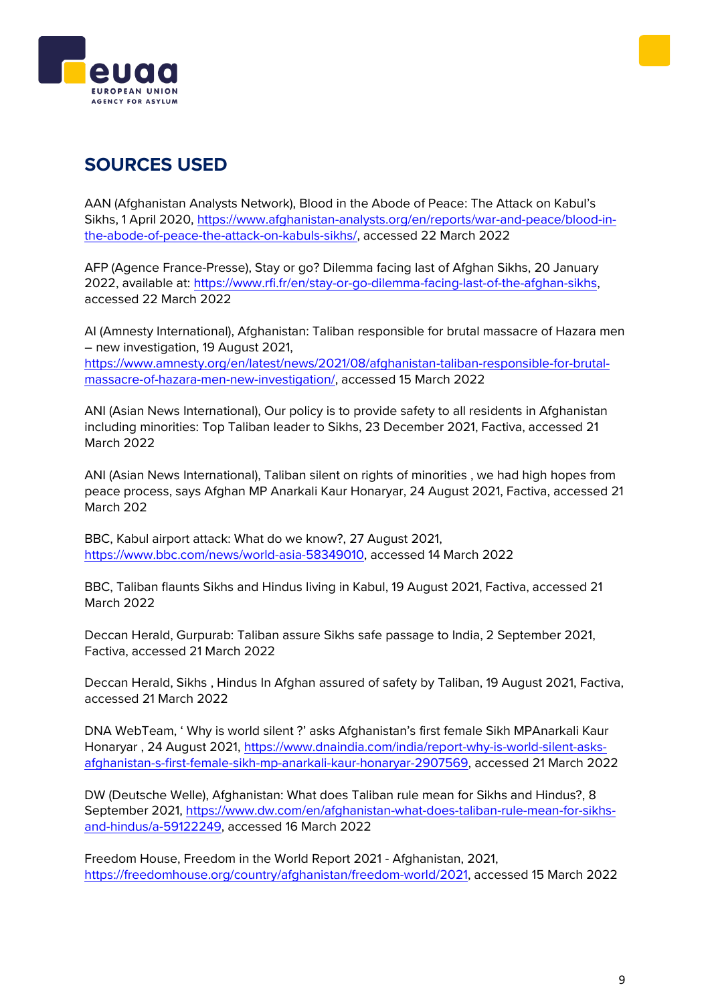



## **SOURCES USED**

AAN (Afghanistan Analysts Network), Blood in the Abode of Peace: The Attack on Kabul's Sikhs, 1 April 2020, [https://www.afghanistan-analysts.org/en/reports/war-and-peace/blood-in](https://www.afghanistan-analysts.org/en/reports/war-and-peace/blood-in-the-abode-of-peace-the-attack-on-kabuls-sikhs/)[the-abode-of-peace-the-attack-on-kabuls-sikhs/,](https://www.afghanistan-analysts.org/en/reports/war-and-peace/blood-in-the-abode-of-peace-the-attack-on-kabuls-sikhs/) accessed 22 March 2022

AFP (Agence France-Presse), Stay or go? Dilemma facing last of Afghan Sikhs, 20 January 2022, available at: [https://www.rfi.fr/en/stay-or-go-dilemma-facing-last-of-the-afghan-sikhs,](https://www.rfi.fr/en/stay-or-go-dilemma-facing-last-of-the-afghan-sikhs) accessed 22 March 2022

AI (Amnesty International), Afghanistan: Taliban responsible for brutal massacre of Hazara men – new investigation, 19 August 2021, [https://www.amnesty.org/en/latest/news/2021/08/afghanistan-taliban-responsible-for-brutal](https://www.amnesty.org/en/latest/news/2021/08/afghanistan-taliban-responsible-for-brutal-massacre-of-hazara-men-new-investigation/)[massacre-of-hazara-men-new-investigation/,](https://www.amnesty.org/en/latest/news/2021/08/afghanistan-taliban-responsible-for-brutal-massacre-of-hazara-men-new-investigation/) accessed 15 March 2022

ANI (Asian News International), Our policy is to provide safety to all residents in Afghanistan including minorities: Top Taliban leader to Sikhs, 23 December 2021, Factiva, accessed 21 March 2022

ANI (Asian News International), Taliban silent on rights of minorities , we had high hopes from peace process, says Afghan MP Anarkali Kaur Honaryar, 24 August 2021, Factiva, accessed 21 March 202

BBC, Kabul airport attack: What do we know?, 27 August 2021, [https://www.bbc.com/news/world-asia-58349010,](https://www.bbc.com/news/world-asia-58349010) accessed 14 March 2022

BBC, Taliban flaunts Sikhs and Hindus living in Kabul, 19 August 2021, Factiva, accessed 21 March 2022

Deccan Herald, Gurpurab: Taliban assure Sikhs safe passage to India, 2 September 2021, Factiva, accessed 21 March 2022

Deccan Herald, Sikhs , Hindus In Afghan assured of safety by Taliban, 19 August 2021, Factiva, accessed 21 March 2022

DNA WebTeam, ' Why is world silent ?' asks Afghanistan's first female Sikh MPAnarkali Kaur Honaryar , 24 August 2021, [https://www.dnaindia.com/india/report-why-is-world-silent-asks](https://www.dnaindia.com/india/report-why-is-world-silent-asks-afghanistan-s-first-female-sikh-mp-anarkali-kaur-honaryar-2907569)[afghanistan-s-first-female-sikh-mp-anarkali-kaur-honaryar-2907569,](https://www.dnaindia.com/india/report-why-is-world-silent-asks-afghanistan-s-first-female-sikh-mp-anarkali-kaur-honaryar-2907569) accessed 21 March 2022

DW (Deutsche Welle), Afghanistan: What does Taliban rule mean for Sikhs and Hindus?, 8 September 2021, [https://www.dw.com/en/afghanistan-what-does-taliban-rule-mean-for-sikhs](https://www.dw.com/en/afghanistan-what-does-taliban-rule-mean-for-sikhs-and-hindus/a-59122249)[and-hindus/a-59122249,](https://www.dw.com/en/afghanistan-what-does-taliban-rule-mean-for-sikhs-and-hindus/a-59122249) accessed 16 March 2022

Freedom House, Freedom in the World Report 2021 - Afghanistan, 2021, [https://freedomhouse.org/country/afghanistan/freedom-world/2021,](https://freedomhouse.org/country/afghanistan/freedom-world/2021) accessed 15 March 2022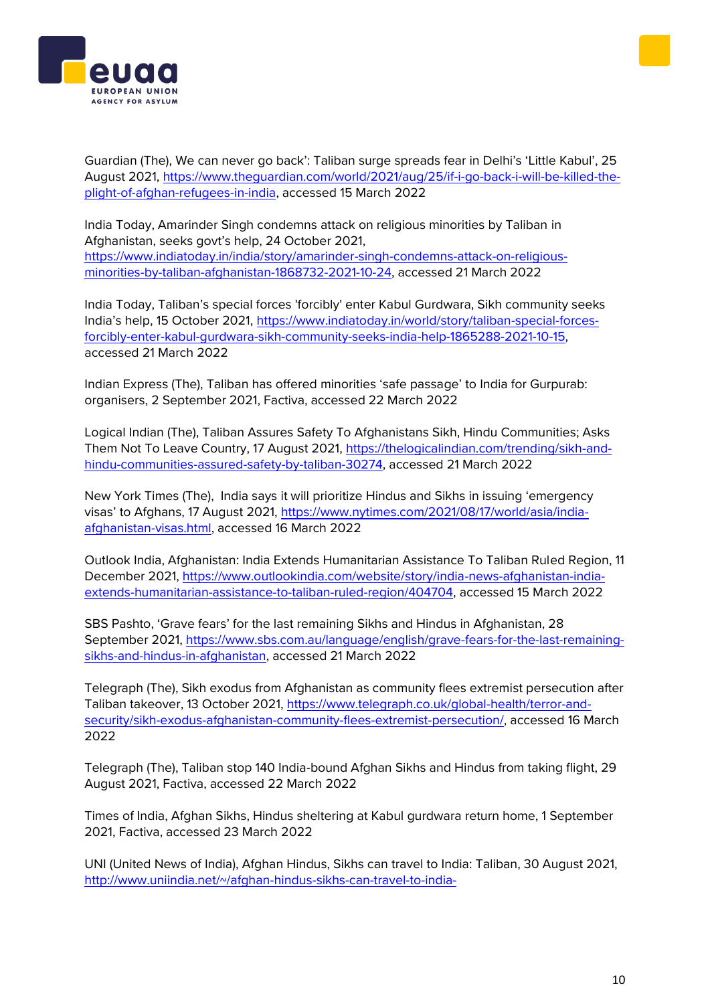



Guardian (The), We can never go back': Taliban surge spreads fear in Delhi's 'Little Kabul', 25 August 2021, [https://www.theguardian.com/world/2021/aug/25/if-i-go-back-i-will-be-killed-the](https://www.theguardian.com/world/2021/aug/25/if-i-go-back-i-will-be-killed-the-plight-of-afghan-refugees-in-india)[plight-of-afghan-refugees-in-india,](https://www.theguardian.com/world/2021/aug/25/if-i-go-back-i-will-be-killed-the-plight-of-afghan-refugees-in-india) accessed 15 March 2022

India Today, Amarinder Singh condemns attack on religious minorities by Taliban in Afghanistan, seeks govt's help, 24 October 2021, [https://www.indiatoday.in/india/story/amarinder-singh-condemns-attack-on-religious](https://www.indiatoday.in/india/story/amarinder-singh-condemns-attack-on-religious-minorities-by-taliban-afghanistan-1868732-2021-10-24)[minorities-by-taliban-afghanistan-1868732-2021-10-24,](https://www.indiatoday.in/india/story/amarinder-singh-condemns-attack-on-religious-minorities-by-taliban-afghanistan-1868732-2021-10-24) accessed 21 March 2022

India Today, Taliban's special forces 'forcibly' enter Kabul Gurdwara, Sikh community seeks India's help, 15 October 2021, [https://www.indiatoday.in/world/story/taliban-special-forces](https://www.indiatoday.in/world/story/taliban-special-forces-forcibly-enter-kabul-gurdwara-sikh-community-seeks-india-help-1865288-2021-10-15)[forcibly-enter-kabul-gurdwara-sikh-community-seeks-india-help-1865288-2021-10-15,](https://www.indiatoday.in/world/story/taliban-special-forces-forcibly-enter-kabul-gurdwara-sikh-community-seeks-india-help-1865288-2021-10-15) accessed 21 March 2022

Indian Express (The), Taliban has offered minorities 'safe passage' to India for Gurpurab: organisers, 2 September 2021, Factiva, accessed 22 March 2022

Logical Indian (The), Taliban Assures Safety To Afghanistans Sikh, Hindu Communities; Asks Them Not To Leave Country, 17 August 2021, [https://thelogicalindian.com/trending/sikh-and](https://thelogicalindian.com/trending/sikh-and-hindu-communities-assured-safety-by-taliban-30274)[hindu-communities-assured-safety-by-taliban-30274,](https://thelogicalindian.com/trending/sikh-and-hindu-communities-assured-safety-by-taliban-30274) accessed 21 March 2022

New York Times (The), India says it will prioritize Hindus and Sikhs in issuing 'emergency visas' to Afghans, 17 August 2021, [https://www.nytimes.com/2021/08/17/world/asia/india](https://www.nytimes.com/2021/08/17/world/asia/india-afghanistan-visas.html)[afghanistan-visas.html,](https://www.nytimes.com/2021/08/17/world/asia/india-afghanistan-visas.html) accessed 16 March 2022

Outlook India, Afghanistan: India Extends Humanitarian Assistance To Taliban Ruled Region, 11 December 2021, [https://www.outlookindia.com/website/story/india-news-afghanistan-india](https://www.outlookindia.com/website/story/india-news-afghanistan-india-extends-humanitarian-assistance-to-taliban-ruled-region/404704)[extends-humanitarian-assistance-to-taliban-ruled-region/404704,](https://www.outlookindia.com/website/story/india-news-afghanistan-india-extends-humanitarian-assistance-to-taliban-ruled-region/404704) accessed 15 March 2022

SBS Pashto, 'Grave fears' for the last remaining Sikhs and Hindus in Afghanistan, 28 September 2021, [https://www.sbs.com.au/language/english/grave-fears-for-the-last-remaining](https://www.sbs.com.au/language/english/grave-fears-for-the-last-remaining-sikhs-and-hindus-in-afghanistan)[sikhs-and-hindus-in-afghanistan,](https://www.sbs.com.au/language/english/grave-fears-for-the-last-remaining-sikhs-and-hindus-in-afghanistan) accessed 21 March 2022

Telegraph (The), Sikh exodus from Afghanistan as community flees extremist persecution after Taliban takeover, 13 October 2021, [https://www.telegraph.co.uk/global-health/terror-and](https://www.telegraph.co.uk/global-health/terror-and-security/sikh-exodus-afghanistan-community-flees-extremist-persecution/)[security/sikh-exodus-afghanistan-community-flees-extremist-persecution/,](https://www.telegraph.co.uk/global-health/terror-and-security/sikh-exodus-afghanistan-community-flees-extremist-persecution/) accessed 16 March 2022

Telegraph (The), Taliban stop 140 India-bound Afghan Sikhs and Hindus from taking flight, 29 August 2021, Factiva, accessed 22 March 2022

Times of India, Afghan Sikhs, Hindus sheltering at Kabul gurdwara return home, 1 September 2021, Factiva, accessed 23 March 2022

UNI (United News of India), Afghan Hindus, Sikhs can travel to India: Taliban, 30 August 2021, [http://www.uniindia.net/~/afghan-hindus-sikhs-can-travel-to-india-](http://www.uniindia.net/~/afghan-hindus-sikhs-can-travel-to-india-taliban/India/news/2491844.html)